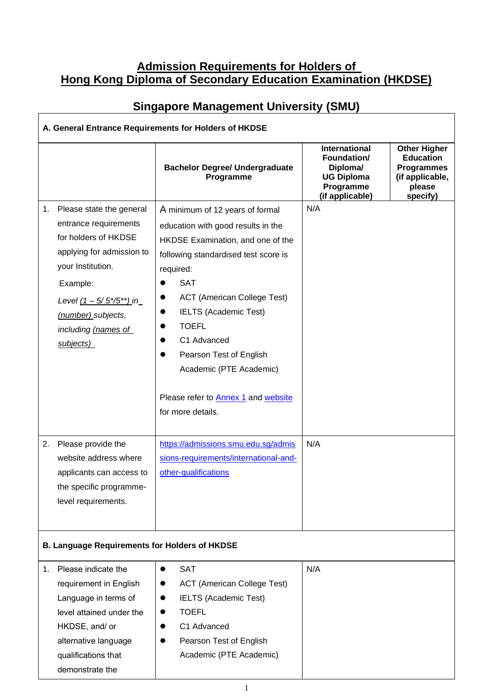# **Admission Requirements for Holders of Hong Kong Diploma of Secondary Education Examination (HKDSE)**

| A. General Entrance Requirements for Holders of HKDSE |                                                                                                                                                                                                                                   |                                                                                                                                                                                                                                                                                                                                                                                                             |                                                                                               |                                                                                                       |  |  |  |
|-------------------------------------------------------|-----------------------------------------------------------------------------------------------------------------------------------------------------------------------------------------------------------------------------------|-------------------------------------------------------------------------------------------------------------------------------------------------------------------------------------------------------------------------------------------------------------------------------------------------------------------------------------------------------------------------------------------------------------|-----------------------------------------------------------------------------------------------|-------------------------------------------------------------------------------------------------------|--|--|--|
|                                                       |                                                                                                                                                                                                                                   | <b>Bachelor Degree/ Undergraduate</b><br>Programme                                                                                                                                                                                                                                                                                                                                                          | International<br>Foundation/<br>Diploma/<br><b>UG Diploma</b><br>Programme<br>(if applicable) | <b>Other Higher</b><br><b>Education</b><br><b>Programmes</b><br>(if applicable,<br>please<br>specify) |  |  |  |
| 1.                                                    | Please state the general<br>entrance requirements<br>for holders of HKDSE<br>applying for admission to<br>your Institution.<br>Example:<br>Level $(1 - 5/5*/5^{**})$ in<br>(number) subjects,<br>including (names of<br>subjects) | A minimum of 12 years of formal<br>education with good results in the<br>HKDSE Examination, and one of the<br>following standardised test score is<br>required:<br><b>SAT</b><br><b>ACT</b> (American College Test)<br><b>IELTS (Academic Test)</b><br><b>TOEFL</b><br>C1 Advanced<br>Pearson Test of English<br>Academic (PTE Academic)<br>Please refer to <b>Annex 1</b> and website<br>for more details. | N/A                                                                                           |                                                                                                       |  |  |  |
| 2.                                                    | Please provide the<br>website address where<br>applicants can access to<br>the specific programme-<br>level requirements.                                                                                                         | https://admissions.smu.edu.sg/admis<br>sions-requirements/international-and-<br>other-qualifications                                                                                                                                                                                                                                                                                                        | N/A                                                                                           |                                                                                                       |  |  |  |
|                                                       | <b>B. Language Requirements for Holders of HKDSE</b>                                                                                                                                                                              |                                                                                                                                                                                                                                                                                                                                                                                                             |                                                                                               |                                                                                                       |  |  |  |
| 1.                                                    | Please indicate the<br>requirement in English<br>Language in terms of<br>level attained under the<br>HKDSE, and/ or<br>alternative language<br>qualifications that<br>demonstrate the                                             | <b>SAT</b><br>$\bullet$<br><b>ACT</b> (American College Test)<br><b>IELTS (Academic Test)</b><br>$\bullet$<br><b>TOEFL</b><br>$\bullet$<br>C1 Advanced<br>$\bullet$<br>Pearson Test of English<br>Academic (PTE Academic)                                                                                                                                                                                   | N/A                                                                                           |                                                                                                       |  |  |  |

# **Singapore Management University (SMU)**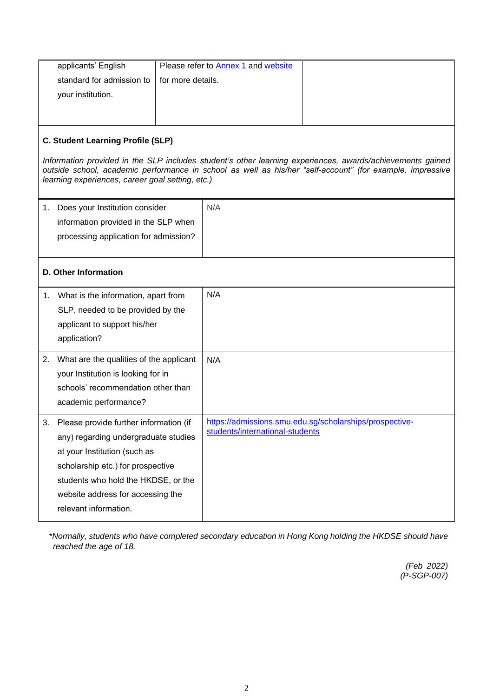| applicants' English                           | Please refer to Annex 1 and website |  |
|-----------------------------------------------|-------------------------------------|--|
| standard for admission to   for more details. |                                     |  |
| your institution.                             |                                     |  |
|                                               |                                     |  |
|                                               |                                     |  |

#### **C. Student Learning Profile (SLP)**

*Information provided in the SLP includes student's other learning experiences, awards/achievements gained outside school, academic performance in school as well as his/her "self-account" (for example, impressive learning experiences, career goal setting, etc.)*

| Does your Institution consider        | N/A |  |
|---------------------------------------|-----|--|
| information provided in the SLP when  |     |  |
| processing application for admission? |     |  |
|                                       |     |  |

#### **D. Other Information**

| 1. | What is the information, apart from<br>SLP, needed to be provided by the<br>applicant to support his/her<br>application?                                                                                                                                 | N/A                                                                                        |
|----|----------------------------------------------------------------------------------------------------------------------------------------------------------------------------------------------------------------------------------------------------------|--------------------------------------------------------------------------------------------|
| 2. | What are the qualities of the applicant<br>your Institution is looking for in<br>schools' recommendation other than<br>academic performance?                                                                                                             | N/A                                                                                        |
| 3. | Please provide further information (if<br>any) regarding undergraduate studies<br>at your Institution (such as<br>scholarship etc.) for prospective<br>students who hold the HKDSE, or the<br>website address for accessing the<br>relevant information. | https://admissions.smu.edu.sg/scholarships/prospective-<br>students/international-students |

*\*Normally, students who have completed secondary education in Hong Kong holding the HKDSE should have reached the age of 18.*

> *(Feb 2022) (P-SGP-007)*